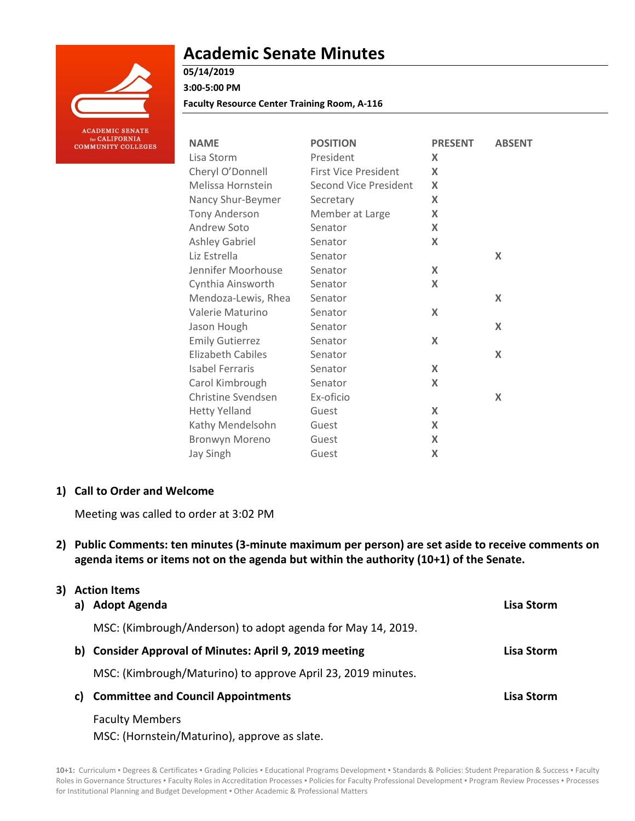

# **Academic Senate Minutes**

## **05/14/2019**

**3:00-5:00 PM**

**Faculty Resource Center Training Room, A-116**

| <b>NAME</b>              | <b>POSITION</b>              | <b>PRESENT</b>            | <b>ABSENT</b>             |
|--------------------------|------------------------------|---------------------------|---------------------------|
| Lisa Storm               | President                    | X                         |                           |
| Cheryl O'Donnell         | <b>First Vice President</b>  | $\boldsymbol{\mathsf{X}}$ |                           |
| Melissa Hornstein        | <b>Second Vice President</b> | X                         |                           |
| Nancy Shur-Beymer        | Secretary                    | $\boldsymbol{\mathsf{X}}$ |                           |
| <b>Tony Anderson</b>     | Member at Large              | X                         |                           |
| Andrew Soto              | Senator                      | X                         |                           |
| <b>Ashley Gabriel</b>    | Senator                      | X                         |                           |
| Liz Estrella             | Senator                      |                           | $\boldsymbol{\mathsf{X}}$ |
| Jennifer Moorhouse       | Senator                      | X                         |                           |
| Cynthia Ainsworth        | Senator                      | X                         |                           |
| Mendoza-Lewis, Rhea      | Senator                      |                           | X                         |
| Valerie Maturino         | Senator                      | X                         |                           |
| Jason Hough              | Senator                      |                           | $\boldsymbol{\mathsf{X}}$ |
| <b>Emily Gutierrez</b>   | Senator                      | X                         |                           |
| <b>Elizabeth Cabiles</b> | Senator                      |                           | X                         |
| <b>Isabel Ferraris</b>   | Senator                      | X                         |                           |
| Carol Kimbrough          | Senator                      | X                         |                           |
| Christine Svendsen       | Ex-oficio                    |                           | X                         |
| <b>Hetty Yelland</b>     | Guest                        | X                         |                           |
| Kathy Mendelsohn         | Guest                        | X                         |                           |
| Bronwyn Moreno           | Guest                        | X                         |                           |
| <b>Jay Singh</b>         | Guest                        | X                         |                           |

### **1) Call to Order and Welcome**

Meeting was called to order at 3:02 PM

**2) Public Comments: ten minutes (3-minute maximum per person) are set aside to receive comments on agenda items or items not on the agenda but within the authority (10+1) of the Senate.**

## **3) Action Items**

| <b>Adopt Agenda</b>                                          | Lisa Storm |
|--------------------------------------------------------------|------------|
| MSC: (Kimbrough/Anderson) to adopt agenda for May 14, 2019.  |            |
| <b>Consider Approval of Minutes: April 9, 2019 meeting</b>   | Lisa Storm |
| MSC: (Kimbrough/Maturino) to approve April 23, 2019 minutes. |            |
| <b>Committee and Council Appointments</b>                    | Lisa Storm |
| <b>Faculty Members</b>                                       |            |
|                                                              |            |

MSC: (Hornstein/Maturino), approve as slate.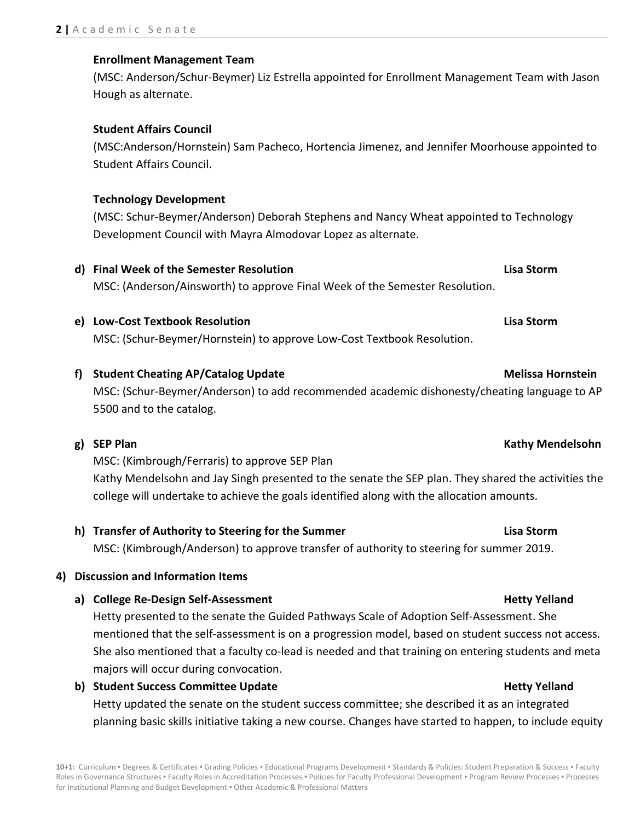**4) Discussion and Information Items a) College Re-Design Self-Assessment Hetty Yelland**

## Hetty presented to the senate the Guided Pathways Scale of Adoption Self-Assessment. She mentioned that the self-assessment is on a progression model, based on student success not access. She also mentioned that a faculty co-lead is needed and that training on entering students and meta majors will occur during convocation.

planning basic skills initiative taking a new course. Changes have started to happen, to include equity

# **h) Transfer of Authority to Steering for the Summer Lisa Storm** MSC: (Kimbrough/Anderson) to approve transfer of authority to steering for summer 2019.

**f) Student Cheating AP/Catalog Update Melissa Hornstein** MSC: (Schur-Beymer/Anderson) to add recommended academic dishonesty/cheating language to AP

MSC: (Schur-Beymer/Hornstein) to approve Low-Cost Textbook Resolution.

# MSC: (Anderson/Ainsworth) to approve Final Week of the Semester Resolution.

**e) Low-Cost Textbook Resolution Lisa Storm**

MSC: (Kimbrough/Ferraris) to approve SEP Plan

5500 and to the catalog.

**g) SEP Plan Kathy Mendelsohn**

# **Enrollment Management Team**

(MSC: Anderson/Schur-Beymer) Liz Estrella appointed for Enrollment Management Team with Jason Hough as alternate.

## **Student Affairs Council**

(MSC:Anderson/Hornstein) Sam Pacheco, Hortencia Jimenez, and Jennifer Moorhouse appointed to Student Affairs Council.

## **Technology Development**

(MSC: Schur-Beymer/Anderson) Deborah Stephens and Nancy Wheat appointed to Technology Development Council with Mayra Almodovar Lopez as alternate.

**d) Final Week of the Semester Resolution Lisa Storm**

**b)** Student Success Committee Update **Hetty Yelland** 

Hetty updated the senate on the student success committee; she described it as an integrated

## Kathy Mendelsohn and Jay Singh presented to the senate the SEP plan. They shared the activities the college will undertake to achieve the goals identified along with the allocation amounts.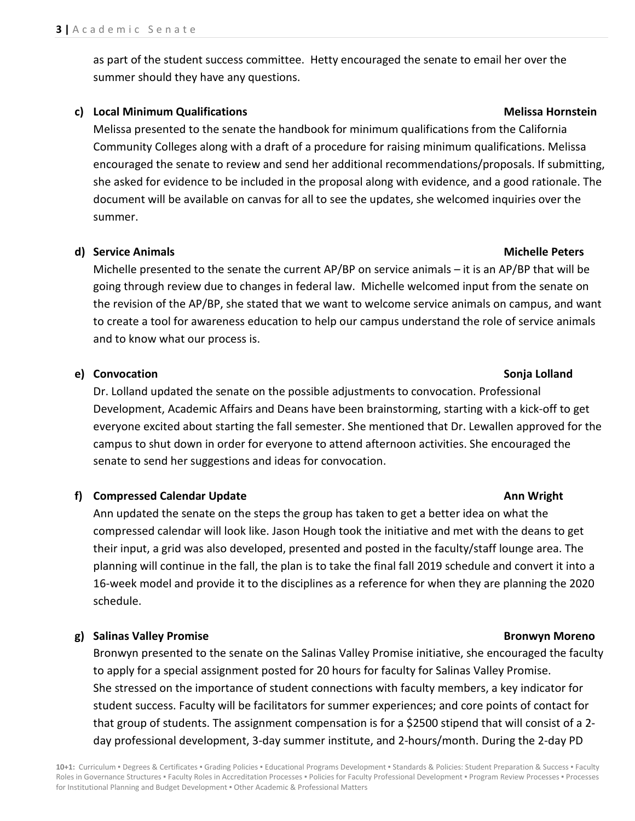as part of the student success committee. Hetty encouraged the senate to email her over the summer should they have any questions.

### **c) Local Minimum Qualifications Melissa Hornstein**

Melissa presented to the senate the handbook for minimum qualifications from the California Community Colleges along with a draft of a procedure for raising minimum qualifications. Melissa encouraged the senate to review and send her additional recommendations/proposals. If submitting, she asked for evidence to be included in the proposal along with evidence, and a good rationale. The document will be available on canvas for all to see the updates, she welcomed inquiries over the summer.

### **d) Service Animals Michelle Peters**

Michelle presented to the senate the current AP/BP on service animals – it is an AP/BP that will be going through review due to changes in federal law. Michelle welcomed input from the senate on the revision of the AP/BP, she stated that we want to welcome service animals on campus, and want to create a tool for awareness education to help our campus understand the role of service animals and to know what our process is.

### **e) Convocation Sonja Lolland**

Dr. Lolland updated the senate on the possible adjustments to convocation. Professional Development, Academic Affairs and Deans have been brainstorming, starting with a kick-off to get everyone excited about starting the fall semester. She mentioned that Dr. Lewallen approved for the campus to shut down in order for everyone to attend afternoon activities. She encouraged the senate to send her suggestions and ideas for convocation.

## **f) Compressed Calendar Update Ann Wright Ann Wright Ann Wright**

Ann updated the senate on the steps the group has taken to get a better idea on what the compressed calendar will look like. Jason Hough took the initiative and met with the deans to get their input, a grid was also developed, presented and posted in the faculty/staff lounge area. The planning will continue in the fall, the plan is to take the final fall 2019 schedule and convert it into a 16-week model and provide it to the disciplines as a reference for when they are planning the 2020 schedule.

## **g) Salinas Valley Promise Bronwyn Moreno**

Bronwyn presented to the senate on the Salinas Valley Promise initiative, she encouraged the faculty to apply for a special assignment posted for 20 hours for faculty for Salinas Valley Promise. She stressed on the importance of student connections with faculty members, a key indicator for student success. Faculty will be facilitators for summer experiences; and core points of contact for that group of students. The assignment compensation is for a \$2500 stipend that will consist of a 2 day professional development, 3-day summer institute, and 2-hours/month. During the 2-day PD